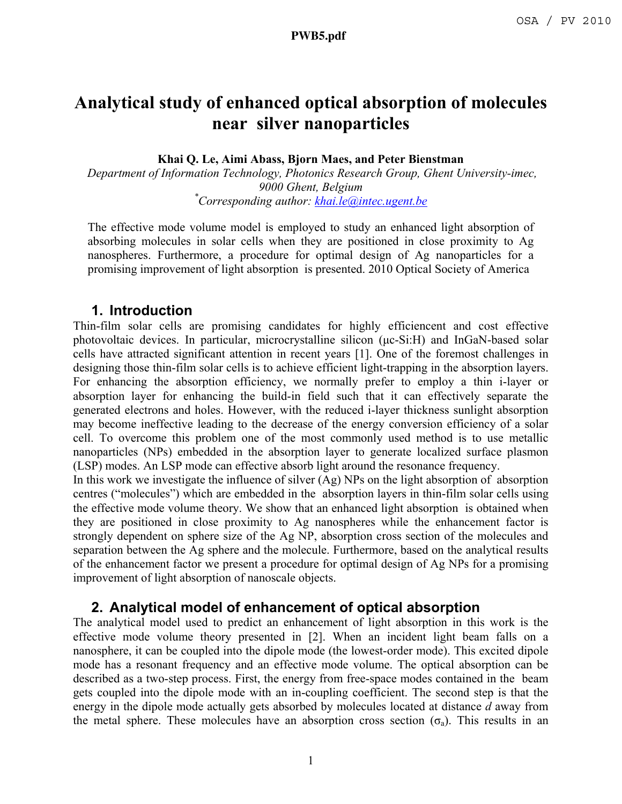# **Analytical study of enhanced optical absorption of molecules near silver nanoparticles**

**Khai Q. Le, Aimi Abass, Bjorn Maes, and Peter Bienstman** 

 *Department of Information Technology, Photonics Research Group, Ghent University-imec, 9000 Ghent, Belgium \* Corresponding author: khai.le@intec.ugent.be*

The effective mode volume model is employed to study an enhanced light absorption of absorbing molecules in solar cells when they are positioned in close proximity to Ag nanospheres. Furthermore, a procedure for optimal design of Ag nanoparticles for a promising improvement of light absorption is presented. 2010 Optical Society of America

## **1. Introduction**

Thin-film solar cells are promising candidates for highly efficiencent and cost effective photovoltaic devices. In particular, microcrystalline silicon (µc-Si:H) and InGaN-based solar cells have attracted significant attention in recent years [1]. One of the foremost challenges in designing those thin-film solar cells is to achieve efficient light-trapping in the absorption layers. For enhancing the absorption efficiency, we normally prefer to employ a thin i-layer or absorption layer for enhancing the build-in field such that it can effectively separate the generated electrons and holes. However, with the reduced i-layer thickness sunlight absorption may become ineffective leading to the decrease of the energy conversion efficiency of a solar cell. To overcome this problem one of the most commonly used method is to use metallic nanoparticles (NPs) embedded in the absorption layer to generate localized surface plasmon (LSP) modes. An LSP mode can effective absorb light around the resonance frequency.

In this work we investigate the influence of silver (Ag) NPs on the light absorption of absorption centres ("molecules") which are embedded in the absorption layers in thin-film solar cells using the effective mode volume theory. We show that an enhanced light absorption is obtained when they are positioned in close proximity to Ag nanospheres while the enhancement factor is strongly dependent on sphere size of the Ag NP, absorption cross section of the molecules and separation between the Ag sphere and the molecule. Furthermore, based on the analytical results of the enhancement factor we present a procedure for optimal design of Ag NPs for a promising improvement of light absorption of nanoscale objects.

## **2. Analytical model of enhancement of optical absorption**

The analytical model used to predict an enhancement of light absorption in this work is the effective mode volume theory presented in [2]. When an incident light beam falls on a nanosphere, it can be coupled into the dipole mode (the lowest-order mode). This excited dipole mode has a resonant frequency and an effective mode volume. The optical absorption can be described as a two-step process. First, the energy from free-space modes contained in the beam gets coupled into the dipole mode with an in-coupling coefficient. The second step is that the energy in the dipole mode actually gets absorbed by molecules located at distance *d* away from the metal sphere. These molecules have an absorption cross section  $(\sigma_a)$ . This results in an